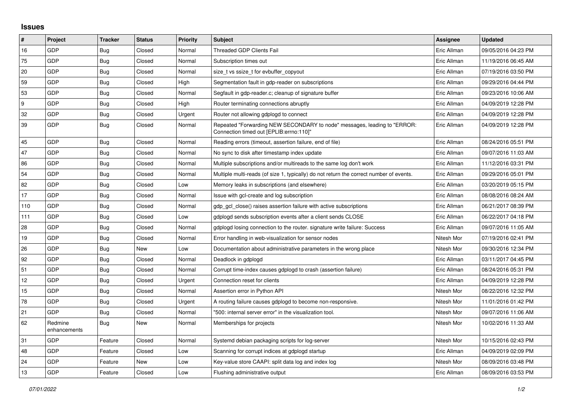## **Issues**

| $\vert$ #        | Project                 | <b>Tracker</b> | <b>Status</b> | <b>Priority</b> | <b>Subject</b>                                                                                                      | <b>Assignee</b> | <b>Updated</b>      |
|------------------|-------------------------|----------------|---------------|-----------------|---------------------------------------------------------------------------------------------------------------------|-----------------|---------------------|
| 16               | GDP                     | Bug            | Closed        | Normal          | Threaded GDP Clients Fail                                                                                           | Eric Allman     | 09/05/2016 04:23 PM |
| 75               | GDP                     | Bug            | Closed        | Normal          | Subscription times out                                                                                              | Eric Allman     | 11/19/2016 06:45 AM |
| 20               | <b>GDP</b>              | <b>Bug</b>     | Closed        | Normal          | size t vs ssize t for evbuffer copyout                                                                              | Eric Allman     | 07/19/2016 03:50 PM |
| 59               | GDP                     | <b>Bug</b>     | Closed        | High            | Segmentation fault in gdp-reader on subscriptions                                                                   | Eric Allman     | 09/29/2016 04:44 PM |
| 53               | GDP                     | <b>Bug</b>     | Closed        | Normal          | Segfault in gdp-reader.c; cleanup of signature buffer                                                               | Eric Allman     | 09/23/2016 10:06 AM |
| $\boldsymbol{9}$ | GDP                     | Bug            | Closed        | High            | Router terminating connections abruptly                                                                             | Eric Allman     | 04/09/2019 12:28 PM |
| 32               | GDP                     | Bug            | Closed        | Urgent          | Router not allowing gdplogd to connect                                                                              | Eric Allman     | 04/09/2019 12:28 PM |
| 39               | GDP                     | Bug            | Closed        | Normal          | Repeated "Forwarding NEW SECONDARY to node" messages, leading to "ERROR:<br>Connection timed out [EPLIB:errno:110]" | Eric Allman     | 04/09/2019 12:28 PM |
| 45               | GDP                     | <b>Bug</b>     | Closed        | Normal          | Reading errors (timeout, assertion failure, end of file)                                                            | Eric Allman     | 08/24/2016 05:51 PM |
| 47               | GDP                     | <b>Bug</b>     | Closed        | Normal          | No sync to disk after timestamp index update                                                                        | Eric Allman     | 09/07/2016 11:03 AM |
| 86               | <b>GDP</b>              | <b>Bug</b>     | Closed        | Normal          | Multiple subscriptions and/or multireads to the same log don't work                                                 | Eric Allman     | 11/12/2016 03:31 PM |
| 54               | GDP                     | <b>Bug</b>     | Closed        | Normal          | Multiple multi-reads (of size 1, typically) do not return the correct number of events.                             | Eric Allman     | 09/29/2016 05:01 PM |
| 82               | GDP                     | <b>Bug</b>     | Closed        | Low             | Memory leaks in subscriptions (and elsewhere)                                                                       | Eric Allman     | 03/20/2019 05:15 PM |
| 17               | <b>GDP</b>              | Bug            | Closed        | Normal          | Issue with gcl-create and log subscription                                                                          | Eric Allman     | 08/08/2016 08:24 AM |
| 110              | GDP                     | <b>Bug</b>     | Closed        | Normal          | gdp gcl close() raises assertion failure with active subscriptions                                                  | Eric Allman     | 06/21/2017 08:39 PM |
| 111              | GDP                     | <b>Bug</b>     | Closed        | Low             | gdplogd sends subscription events after a client sends CLOSE                                                        | Eric Allman     | 06/22/2017 04:18 PM |
| 28               | GDP                     | <b>Bug</b>     | Closed        | Normal          | gdplogd losing connection to the router. signature write failure: Success                                           | Eric Allman     | 09/07/2016 11:05 AM |
| 19               | GDP                     | <b>Bug</b>     | Closed        | Normal          | Error handling in web-visualization for sensor nodes                                                                | Nitesh Mor      | 07/19/2016 02:41 PM |
| 26               | GDP                     | <b>Bug</b>     | New           | Low             | Documentation about administrative parameters in the wrong place                                                    | Nitesh Mor      | 09/30/2016 12:34 PM |
| 92               | GDP                     | <b>Bug</b>     | Closed        | Normal          | Deadlock in gdplogd                                                                                                 | Eric Allman     | 03/11/2017 04:45 PM |
| 51               | GDP                     | Bug            | Closed        | Normal          | Corrupt time-index causes gdplogd to crash (assertion failure)                                                      | Eric Allman     | 08/24/2016 05:31 PM |
| 12               | GDP                     | <b>Bug</b>     | Closed        | Urgent          | Connection reset for clients                                                                                        | Eric Allman     | 04/09/2019 12:28 PM |
| 15               | GDP                     | Bug            | Closed        | Normal          | Assertion error in Python API                                                                                       | Nitesh Mor      | 08/22/2016 12:32 PM |
| 78               | <b>GDP</b>              | <b>Bug</b>     | Closed        | Urgent          | A routing failure causes gdplogd to become non-responsive.                                                          | Nitesh Mor      | 11/01/2016 01:42 PM |
| 21               | <b>GDP</b>              | <b>Bug</b>     | Closed        | Normal          | "500: internal server error" in the visualization tool.                                                             | Nitesh Mor      | 09/07/2016 11:06 AM |
| 62               | Redmine<br>enhancements | <b>Bug</b>     | New           | Normal          | Memberships for projects                                                                                            | Nitesh Mor      | 10/02/2016 11:33 AM |
| 31               | GDP                     | Feature        | Closed        | Normal          | Systemd debian packaging scripts for log-server                                                                     | Nitesh Mor      | 10/15/2016 02:43 PM |
| 48               | GDP                     | Feature        | Closed        | Low             | Scanning for corrupt indices at gdplogd startup                                                                     | Eric Allman     | 04/09/2019 02:09 PM |
| 24               | GDP                     | Feature        | New           | Low             | Key-value store CAAPI: split data log and index log                                                                 | Nitesh Mor      | 08/09/2016 03:48 PM |
| 13               | GDP                     | Feature        | Closed        | Low             | Flushing administrative output                                                                                      | Eric Allman     | 08/09/2016 03:53 PM |